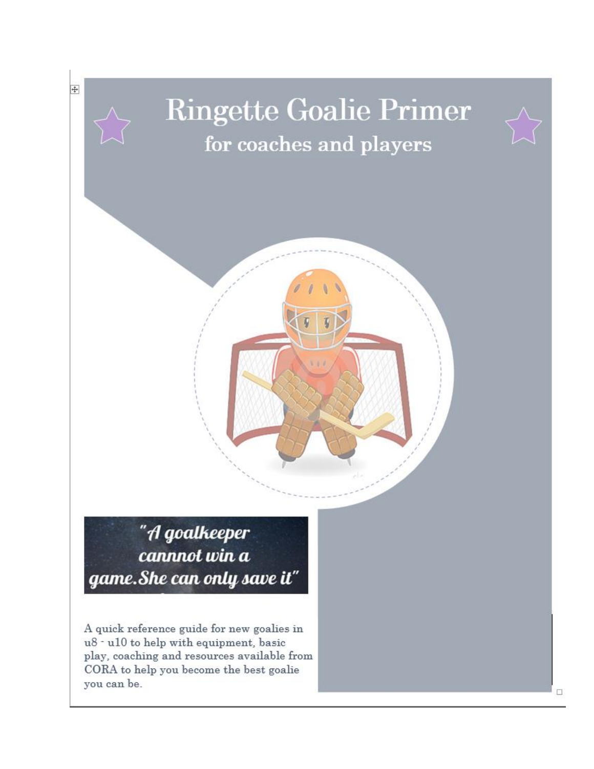# **Ringette Goalie Primer** for coaches and players



"A goalkeeper cannnot win a game. She can only save it"

 $\overline{+}$ 

A quick reference guide for new goalies in u8 - u10 to help with equipment, basic play, coaching and resources available from CORA to help you become the best goalie you can be.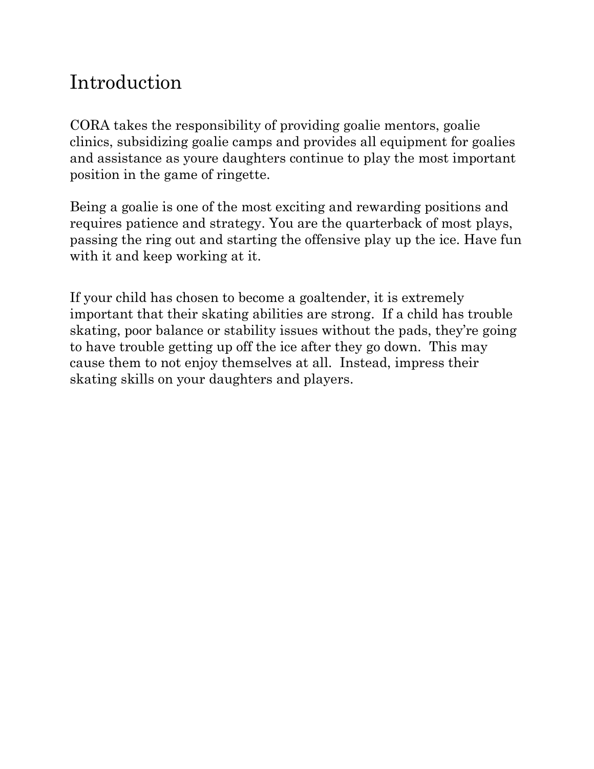# Introduction

CORA takes the responsibility of providing goalie mentors, goalie clinics, subsidizing goalie camps and provides all equipment for goalies and assistance as youre daughters continue to play the most important position in the game of ringette.

Being a goalie is one of the most exciting and rewarding positions and requires patience and strategy. You are the quarterback of most plays, passing the ring out and starting the offensive play up the ice. Have fun with it and keep working at it.

If your child has chosen to become a goaltender, it is extremely important that their skating abilities are strong. If a child has trouble skating, poor balance or stability issues without the pads, they're going to have trouble getting up off the ice after they go down. This may cause them to not enjoy themselves at all. Instead, impress their skating skills on your daughters and players.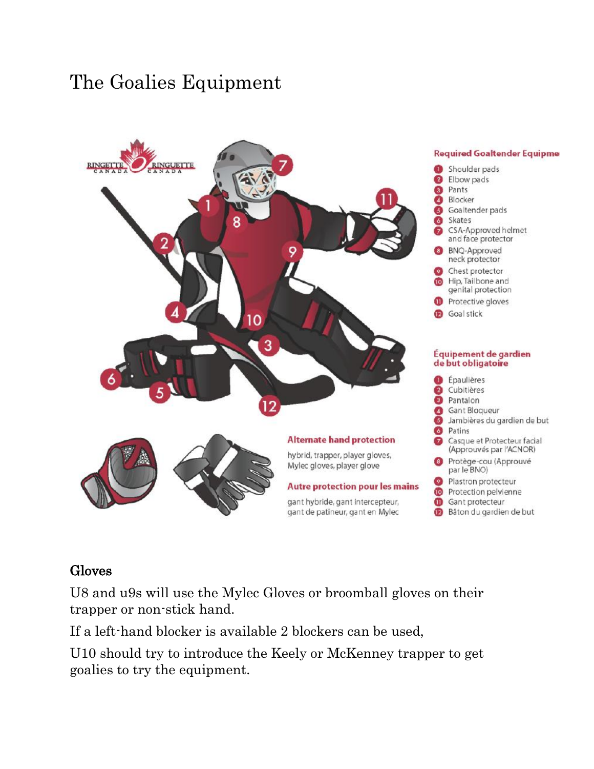# The Goalies Equipment



#### Gloves

U8 and u9s will use the Mylec Gloves or broomball gloves on their trapper or non-stick hand.

If a left-hand blocker is available 2 blockers can be used,

U10 should try to introduce the Keely or McKenney trapper to get goalies to try the equipment.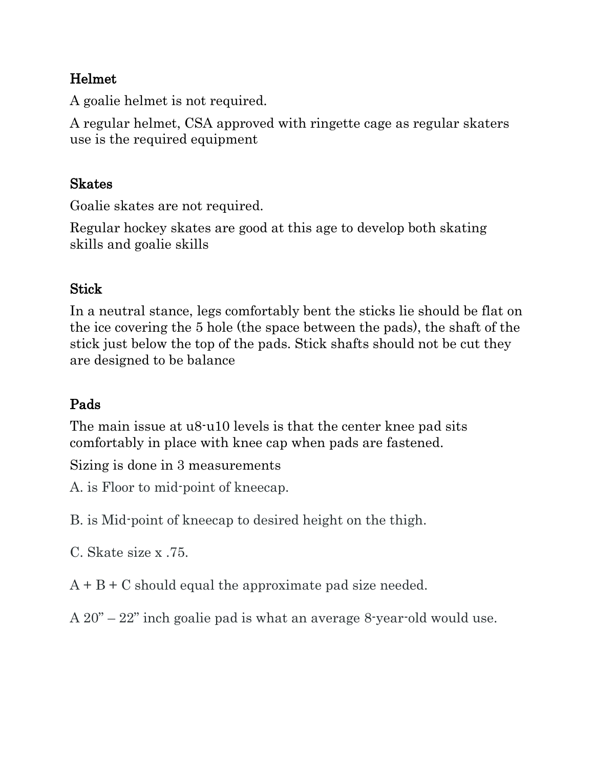#### Helmet

A goalie helmet is not required.

A regular helmet, CSA approved with ringette cage as regular skaters use is the required equipment

### Skates

Goalie skates are not required.

Regular hockey skates are good at this age to develop both skating skills and goalie skills

### **Stick**

In a neutral stance, legs comfortably bent the sticks lie should be flat on the ice covering the 5 hole (the space between the pads), the shaft of the stick just below the top of the pads. Stick shafts should not be cut they are designed to be balance

### Pads

The main issue at u8-u10 levels is that the center knee pad sits comfortably in place with knee cap when pads are fastened.

Sizing is done in 3 measurements

A. is Floor to mid-point of kneecap.

B. is Mid-point of kneecap to desired height on the thigh.

C. Skate size x .75.

 $A + B + C$  should equal the approximate pad size needed.

A 20" – 22" inch goalie pad is what an average 8-year-old would use.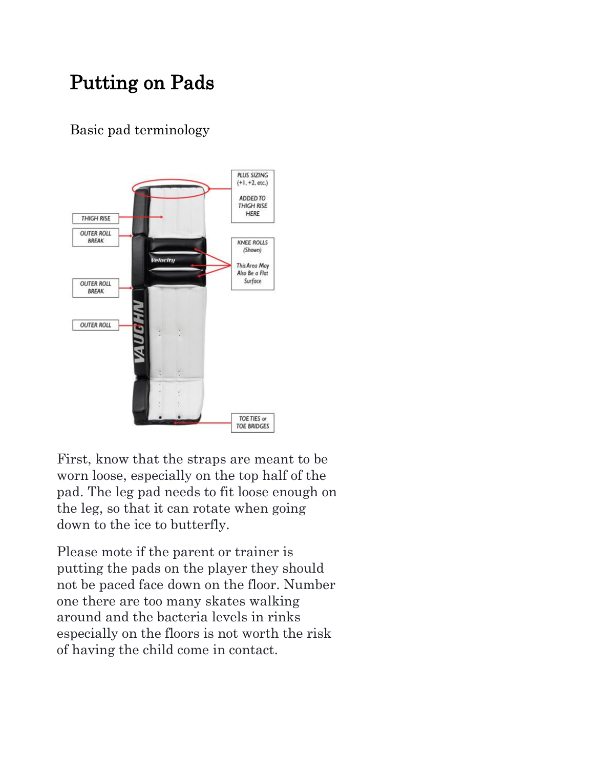# Putting on Pads

#### Basic pad terminology



First, know that the straps are meant to be worn loose, especially on the top half of the pad. The leg pad needs to fit loose enough on the leg, so that it can rotate when going down to the ice to butterfly.

Please mote if the parent or trainer is putting the pads on the player they should not be paced face down on the floor. Number one there are too many skates walking around and the bacteria levels in rinks especially on the floors is not worth the risk of having the child come in contact.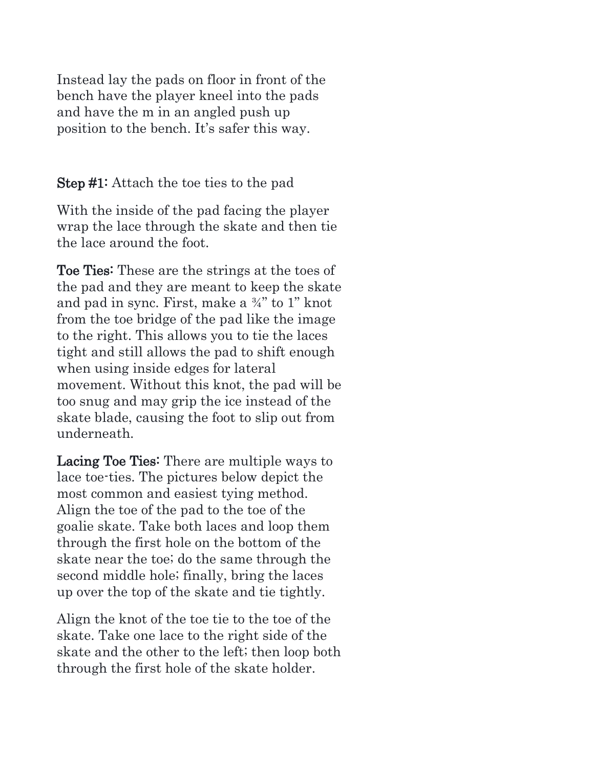Instead lay the pads on floor in front of the bench have the player kneel into the pads and have the m in an angled push up position to the bench. It's safer this way.

Step #1: Attach the toe ties to the pad

With the inside of the pad facing the player wrap the lace through the skate and then tie the lace around the foot.

Toe Ties: These are the strings at the toes of the pad and they are meant to keep the skate and pad in sync. First, make a ¾" to 1" knot from the toe bridge of the pad like the image to the right. This allows you to tie the laces tight and still allows the pad to shift enough when using inside edges for lateral movement. Without this knot, the pad will be too snug and may grip the ice instead of the skate blade, causing the foot to slip out from underneath.

Lacing Toe Ties: There are multiple ways to lace toe-ties. The pictures below depict the most common and easiest tying method. Align the toe of the pad to the toe of the goalie skate. Take both laces and loop them through the first hole on the bottom of the skate near the toe; do the same through the second middle hole; finally, bring the laces up over the top of the skate and tie tightly.

Align the knot of the toe tie to the toe of the skate. Take one lace to the right side of the skate and the other to the left; then loop both through the first hole of the skate holder.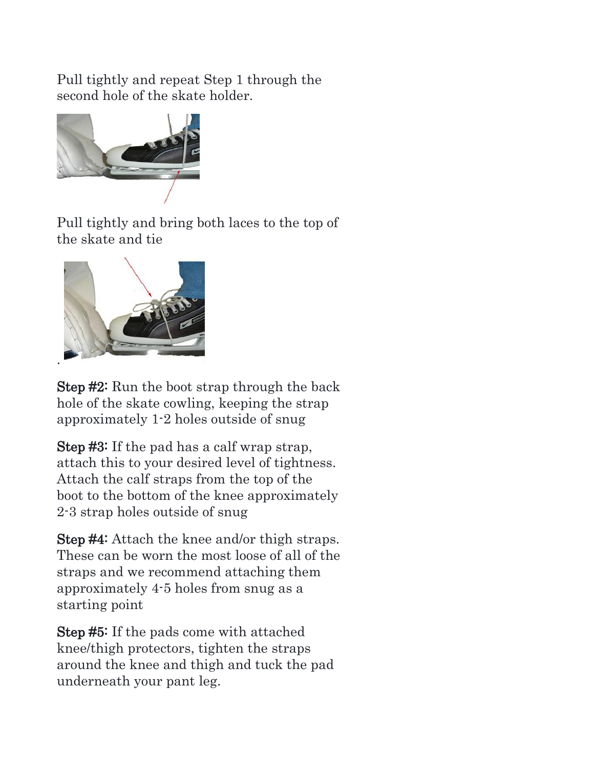Pull tightly and repeat Step 1 through the second hole of the skate holder.



Pull tightly and bring both laces to the top of the skate and tie



Step #2: Run the boot strap through the back hole of the skate cowling, keeping the strap approximately 1-2 holes outside of snug

Step #3: If the pad has a calf wrap strap, attach this to your desired level of tightness. Attach the calf straps from the top of the boot to the bottom of the knee approximately 2-3 strap holes outside of snug

Step #4: Attach the knee and/or thigh straps. These can be worn the most loose of all of the straps and we recommend attaching them approximately 4-5 holes from snug as a starting point

Step #5: If the pads come with attached knee/thigh protectors, tighten the straps around the knee and thigh and tuck the pad underneath your pant leg.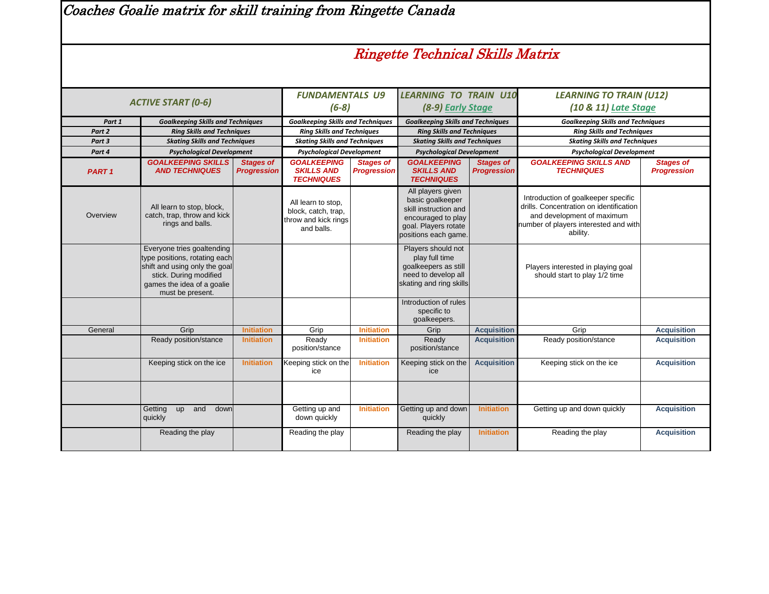Coaches Goalie matrix for skill training from Ringette Canada

### Ringette Technical Skills Matrix

|              | <b>ACTIVE START (0-6)</b>                                                                                                                                                |                                        | <b>FUNDAMENTALS U9</b>                                                          |                                        | <b>LEARNING TO TRAIN U10</b>                                                                                                         |                                        | <b>LEARNING TO TRAIN (U12)</b>                                                                                                                                    |                                        |  |
|--------------|--------------------------------------------------------------------------------------------------------------------------------------------------------------------------|----------------------------------------|---------------------------------------------------------------------------------|----------------------------------------|--------------------------------------------------------------------------------------------------------------------------------------|----------------------------------------|-------------------------------------------------------------------------------------------------------------------------------------------------------------------|----------------------------------------|--|
|              |                                                                                                                                                                          |                                        | $(6-8)$                                                                         |                                        | (8-9) Early Stage                                                                                                                    |                                        | (10 & 11) Late Stage                                                                                                                                              |                                        |  |
| Part 1       | <b>Goalkeeping Skills and Techniques</b>                                                                                                                                 |                                        | <b>Goalkeeping Skills and Techniques</b>                                        |                                        | <b>Goalkeeping Skills and Techniques</b>                                                                                             |                                        | <b>Goalkeeping Skills and Techniques</b>                                                                                                                          |                                        |  |
| Part 2       | <b>Ring Skills and Techniques</b>                                                                                                                                        |                                        | <b>Ring Skills and Techniques</b>                                               |                                        | <b>Ring Skills and Techniques</b>                                                                                                    |                                        | <b>Ring Skills and Techniques</b>                                                                                                                                 |                                        |  |
| Part 3       | <b>Skating Skills and Techniques</b>                                                                                                                                     |                                        | <b>Skating Skills and Techniques</b>                                            |                                        | <b>Skating Skills and Techniques</b>                                                                                                 |                                        | <b>Skating Skills and Techniques</b>                                                                                                                              |                                        |  |
| Part 4       | <b>Psychological Development</b>                                                                                                                                         |                                        | <b>Psychological Development</b>                                                |                                        | <b>Psychological Development</b>                                                                                                     |                                        | <b>Psychological Development</b>                                                                                                                                  |                                        |  |
| <b>PART1</b> | <b>GOALKEEPING SKILLS</b><br><b>AND TECHNIQUES</b>                                                                                                                       | <b>Stages of</b><br><b>Progression</b> | <b>GOALKEEPING</b><br><b>SKILLS AND</b><br><b>TECHNIQUES</b>                    | <b>Stages of</b><br><b>Progression</b> | <b>GOALKEEPING</b><br><b>SKILLS AND</b><br><b>TECHNIQUES</b>                                                                         | <b>Stages of</b><br><b>Progression</b> | <b>GOALKEEPING SKILLS AND</b><br><b>TECHNIQUES</b>                                                                                                                | <b>Stages of</b><br><b>Progression</b> |  |
| Overview     | All learn to stop, block,<br>catch, trap, throw and kick<br>rings and balls.                                                                                             |                                        | All learn to stop,<br>block, catch, trap,<br>throw and kick rings<br>and balls. |                                        | All players given<br>basic goalkeeper<br>skill instruction and<br>encouraged to play<br>goal. Players rotate<br>positions each game. |                                        | Introduction of goalkeeper specific<br>drills. Concentration on identification<br>and development of maximum<br>number of players interested and with<br>ability. |                                        |  |
|              | Everyone tries goaltending<br>type positions, rotating each<br>shift and using only the goal<br>stick. During modified<br>games the idea of a goalie<br>must be present. |                                        |                                                                                 |                                        | Players should not<br>play full time<br>goalkeepers as still<br>need to develop all<br>skating and ring skills                       |                                        | Players interested in playing goal<br>should start to play 1/2 time                                                                                               |                                        |  |
|              |                                                                                                                                                                          |                                        |                                                                                 |                                        | Introduction of rules<br>specific to<br>goalkeepers.                                                                                 |                                        |                                                                                                                                                                   |                                        |  |
| General      | Grip                                                                                                                                                                     | <b>Initiation</b>                      | Grip                                                                            | <b>Initiation</b>                      | Grip                                                                                                                                 | <b>Acquisition</b>                     | Grip                                                                                                                                                              | <b>Acquisition</b>                     |  |
|              | Ready position/stance                                                                                                                                                    | <b>Initiation</b>                      | Ready<br>position/stance                                                        | <b>Initiation</b>                      | Ready<br>position/stance                                                                                                             | <b>Acquisition</b>                     | Ready position/stance                                                                                                                                             | <b>Acquisition</b>                     |  |
|              | Keeping stick on the ice                                                                                                                                                 | <b>Initiation</b>                      | Keeping stick on the<br>ice                                                     | <b>Initiation</b>                      | Keeping stick on the<br>ice                                                                                                          | <b>Acquisition</b>                     | Keeping stick on the ice                                                                                                                                          | <b>Acquisition</b>                     |  |
|              |                                                                                                                                                                          |                                        |                                                                                 |                                        |                                                                                                                                      |                                        |                                                                                                                                                                   |                                        |  |
|              | Getting<br>up<br>and<br>down<br>quickly                                                                                                                                  |                                        | Getting up and<br>down quickly                                                  | <b>Initiation</b>                      | Getting up and down<br>quickly                                                                                                       | <b>Initiation</b>                      | Getting up and down quickly                                                                                                                                       | <b>Acquisition</b>                     |  |
|              | Reading the play                                                                                                                                                         |                                        | Reading the play                                                                |                                        | Reading the play                                                                                                                     | <b>Initiation</b>                      | Reading the play                                                                                                                                                  | <b>Acquisition</b>                     |  |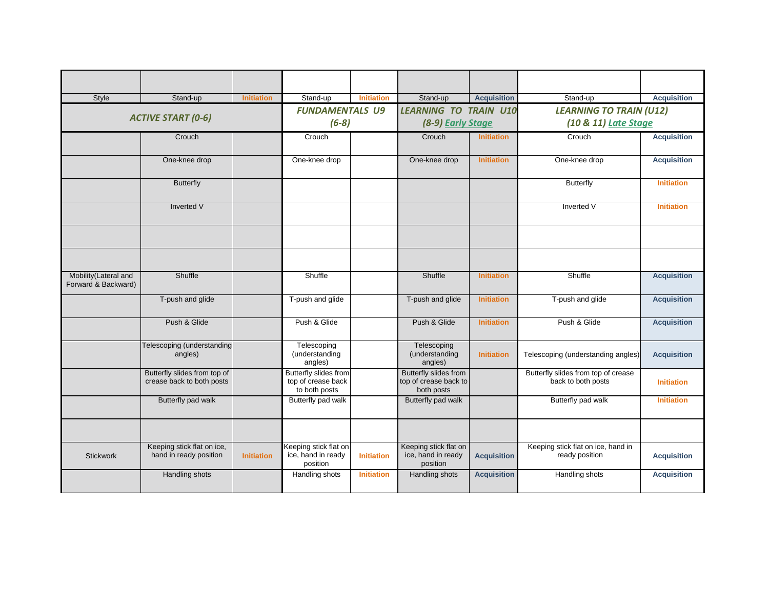| Style                                       | Stand-up                                                  | <b>Initiation</b> | Stand-up                                                     | <b>Initiation</b> | Stand-up                                                     | <b>Acquisition</b> | Stand-up                                                  | <b>Acquisition</b> |
|---------------------------------------------|-----------------------------------------------------------|-------------------|--------------------------------------------------------------|-------------------|--------------------------------------------------------------|--------------------|-----------------------------------------------------------|--------------------|
|                                             |                                                           |                   | <b>FUNDAMENTALS U9</b>                                       |                   | <b>LEARNING TO TRAIN U10</b>                                 |                    | <b>LEARNING TO TRAIN (U12)</b>                            |                    |
|                                             | <b>ACTIVE START (0-6)</b>                                 |                   | $(6-8)$                                                      |                   | (8-9) Early Stage                                            |                    | (10 & 11) Late Stage                                      |                    |
|                                             |                                                           |                   |                                                              |                   |                                                              |                    |                                                           |                    |
|                                             | Crouch                                                    |                   | Crouch                                                       |                   | Crouch                                                       | <b>Initiation</b>  | Crouch                                                    | <b>Acquisition</b> |
|                                             | One-knee drop                                             |                   | One-knee drop                                                |                   | One-knee drop                                                | <b>Initiation</b>  | One-knee drop                                             | <b>Acquisition</b> |
|                                             | <b>Butterfly</b>                                          |                   |                                                              |                   |                                                              |                    | Butterfly                                                 | <b>Initiation</b>  |
|                                             | <b>Inverted V</b>                                         |                   |                                                              |                   |                                                              |                    | Inverted V                                                | <b>Initiation</b>  |
|                                             |                                                           |                   |                                                              |                   |                                                              |                    |                                                           |                    |
|                                             |                                                           |                   |                                                              |                   |                                                              |                    |                                                           |                    |
| Mobility(Lateral and<br>Forward & Backward) | Shuffle                                                   |                   | Shuffle                                                      |                   | Shuffle                                                      | <b>Initiation</b>  | Shuffle                                                   | <b>Acquisition</b> |
|                                             | T-push and glide                                          |                   | T-push and glide                                             |                   | T-push and glide                                             | <b>Initiation</b>  | T-push and glide                                          | <b>Acquisition</b> |
|                                             | Push & Glide                                              |                   | Push & Glide                                                 |                   | Push & Glide                                                 | <b>Initiation</b>  | Push & Glide                                              | <b>Acquisition</b> |
|                                             | Telescoping (understanding<br>angles)                     |                   | Telescoping<br>(understanding<br>angles)                     |                   | Telescoping<br>(understanding<br>angles)                     | <b>Initiation</b>  | Telescoping (understanding angles)                        | <b>Acquisition</b> |
|                                             | Butterfly slides from top of<br>crease back to both posts |                   | Butterfly slides from<br>top of crease back<br>to both posts |                   | Butterfly slides from<br>top of crease back to<br>both posts |                    | Butterfly slides from top of crease<br>back to both posts | <b>Initiation</b>  |
|                                             | Butterfly pad walk                                        |                   | Butterfly pad walk                                           |                   | Butterfly pad walk                                           |                    | Butterfly pad walk                                        | <b>Initiation</b>  |
|                                             |                                                           |                   |                                                              |                   |                                                              |                    |                                                           |                    |
| <b>Stickwork</b>                            | Keeping stick flat on ice,<br>hand in ready position      | <b>Initiation</b> | Keeping stick flat on<br>ice, hand in ready<br>position      | <b>Initiation</b> | Keeping stick flat on<br>ice, hand in ready<br>position      | <b>Acquisition</b> | Keeping stick flat on ice, hand in<br>ready position      | <b>Acquisition</b> |
|                                             | Handling shots                                            |                   | Handling shots                                               | <b>Initiation</b> | Handling shots                                               | <b>Acquisition</b> | Handling shots                                            | <b>Acquisition</b> |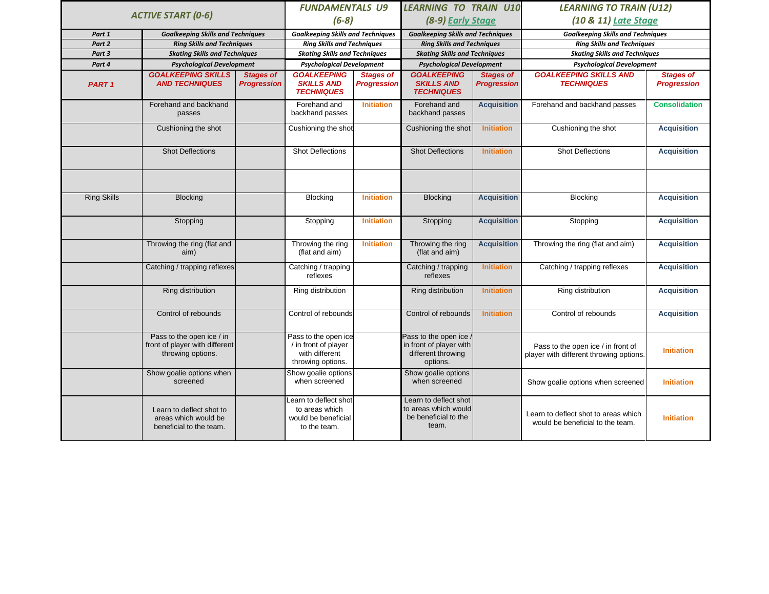|                    |                                                                                  | <b>FUNDAMENTALS U9</b>                 |                                                                                     | LEARNING TO TRAIN U10                  |                                                                                    | <b>LEARNING TO TRAIN (U12)</b>         |                                                                              |                                        |
|--------------------|----------------------------------------------------------------------------------|----------------------------------------|-------------------------------------------------------------------------------------|----------------------------------------|------------------------------------------------------------------------------------|----------------------------------------|------------------------------------------------------------------------------|----------------------------------------|
|                    | <b>ACTIVE START (0-6)</b>                                                        |                                        | $(6-8)$                                                                             |                                        | (8-9) Early Stage                                                                  |                                        | (10 & 11) Late Stage                                                         |                                        |
| Part 1             | <b>Goalkeeping Skills and Techniques</b>                                         |                                        | <b>Goalkeeping Skills and Techniques</b>                                            |                                        | <b>Goalkeeping Skills and Techniques</b>                                           |                                        | <b>Goalkeeping Skills and Techniques</b>                                     |                                        |
| Part 2             | <b>Ring Skills and Techniques</b>                                                |                                        | <b>Ring Skills and Techniques</b>                                                   |                                        | <b>Ring Skills and Techniques</b>                                                  |                                        | <b>Ring Skills and Techniques</b>                                            |                                        |
| Part 3             | <b>Skating Skills and Techniques</b>                                             |                                        | <b>Skating Skills and Techniques</b>                                                |                                        | <b>Skating Skills and Techniques</b>                                               |                                        | <b>Skating Skills and Techniques</b>                                         |                                        |
| Part 4             | <b>Psychological Development</b>                                                 |                                        | <b>Psychological Development</b>                                                    |                                        | <b>Psychological Development</b>                                                   |                                        | <b>Psychological Development</b>                                             |                                        |
| PART <sub>1</sub>  | <b>GOALKEEPING SKILLS</b><br><b>AND TECHNIQUES</b>                               | <b>Stages of</b><br><b>Progression</b> | <b>GOALKEEPING</b><br><b>SKILLS AND</b><br><b>TECHNIQUES</b>                        | <b>Stages of</b><br><b>Progression</b> | <b>GOALKEEPING</b><br><b>SKILLS AND</b><br><b>TECHNIQUES</b>                       | <b>Stages of</b><br><b>Progression</b> | <b>GOALKEEPING SKILLS AND</b><br><b>TECHNIQUES</b>                           | <b>Stages of</b><br><b>Progression</b> |
|                    | Forehand and backhand<br>passes                                                  |                                        | Forehand and<br>backhand passes                                                     | <b>Initiation</b>                      | Forehand and<br>backhand passes                                                    | <b>Acquisition</b>                     | Forehand and backhand passes                                                 | <b>Consolidation</b>                   |
|                    | Cushioning the shot                                                              |                                        | Cushioning the shot                                                                 |                                        | Cushioning the shot                                                                | <b>Initiation</b>                      | Cushioning the shot                                                          | <b>Acquisition</b>                     |
|                    | <b>Shot Deflections</b>                                                          |                                        | <b>Shot Deflections</b>                                                             |                                        | <b>Shot Deflections</b>                                                            | <b>Initiation</b>                      | <b>Shot Deflections</b>                                                      | <b>Acquisition</b>                     |
| <b>Ring Skills</b> | <b>Blocking</b>                                                                  |                                        | <b>Blocking</b>                                                                     | <b>Initiation</b>                      | <b>Blocking</b>                                                                    | <b>Acquisition</b>                     | <b>Blocking</b>                                                              | <b>Acquisition</b>                     |
|                    | Stopping                                                                         |                                        | Stopping                                                                            | <b>Initiation</b>                      | Stopping                                                                           | <b>Acquisition</b>                     | Stopping                                                                     | <b>Acquisition</b>                     |
|                    | Throwing the ring (flat and<br>aim)                                              |                                        | Throwing the ring<br>(flat and aim)                                                 | <b>Initiation</b>                      | Throwing the ring<br>(flat and aim)                                                | <b>Acquisition</b>                     | Throwing the ring (flat and aim)                                             | <b>Acquisition</b>                     |
|                    | Catching / trapping reflexes                                                     |                                        | Catching / trapping<br>reflexes                                                     |                                        | Catching / trapping<br>reflexes                                                    | <b>Initiation</b>                      | Catching / trapping reflexes                                                 | <b>Acquisition</b>                     |
|                    | Ring distribution                                                                |                                        | Ring distribution                                                                   |                                        | Ring distribution                                                                  | <b>Initiation</b>                      | Ring distribution                                                            | <b>Acquisition</b>                     |
|                    | Control of rebounds                                                              |                                        | Control of rebounds                                                                 |                                        | Control of rebounds                                                                | <b>Initiation</b>                      | Control of rebounds                                                          | <b>Acquisition</b>                     |
|                    | Pass to the open ice / in<br>front of player with different<br>throwing options. |                                        | Pass to the open ice<br>/ in front of player<br>with different<br>throwing options. |                                        | Pass to the open ice,<br>in front of player with<br>different throwing<br>options. |                                        | Pass to the open ice / in front of<br>player with different throwing options | <b>Initiation</b>                      |
|                    | Show goalie options when<br>screened                                             |                                        | Show goalie options<br>when screened                                                |                                        | Show goalie options<br>when screened                                               |                                        | Show goalie options when screened                                            | <b>Initiation</b>                      |
|                    | Learn to deflect shot to<br>areas which would be<br>beneficial to the team.      |                                        | earn to deflect shot<br>to areas which<br>would be beneficial<br>to the team.       |                                        | Learn to deflect shot<br>to areas which would<br>be beneficial to the<br>team.     |                                        | Learn to deflect shot to areas which<br>would be beneficial to the team.     | <b>Initiation</b>                      |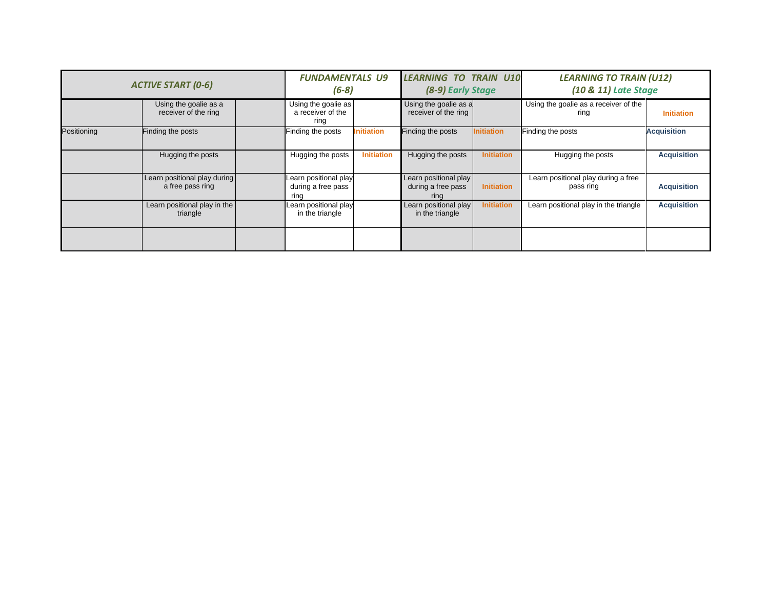| <b>ACTIVE START (0-6)</b> |                                                  | <b>FUNDAMENTALS U9</b><br>$(6-8)$ |                                                     | <b>LEARNING TO TRAIN U10</b><br>(8-9) Early Stage |                                                     | <b>LEARNING TO TRAIN (U12)</b><br>(10 & 11) Late Stage |                                                  |                    |
|---------------------------|--------------------------------------------------|-----------------------------------|-----------------------------------------------------|---------------------------------------------------|-----------------------------------------------------|--------------------------------------------------------|--------------------------------------------------|--------------------|
|                           | Using the goalie as a<br>receiver of the ring    |                                   | Using the goalie as<br>a receiver of the<br>ring    |                                                   | Using the goalie as a<br>receiver of the ring       |                                                        | Using the goalie as a receiver of the<br>ring    | <b>Initiation</b>  |
| Positioning               | Finding the posts                                |                                   | Finding the posts                                   | <b>Initiation</b>                                 | Finding the posts                                   | <b>Initiation</b>                                      | Finding the posts                                | <b>Acquisition</b> |
|                           | Hugging the posts                                |                                   | Hugging the posts                                   | <b>Initiation</b>                                 | Hugging the posts                                   | <b>Initiation</b>                                      | Hugging the posts                                | <b>Acquisition</b> |
|                           | Learn positional play during<br>a free pass ring |                                   | Learn positional play<br>during a free pass<br>ring |                                                   | Learn positional play<br>during a free pass<br>ring | <b>Initiation</b>                                      | Learn positional play during a free<br>pass ring | <b>Acquisition</b> |
|                           | Learn positional play in the<br>triangle         |                                   | Learn positional play<br>in the triangle            |                                                   | Learn positional play<br>in the triangle            | <b>Initiation</b>                                      | Learn positional play in the triangle            | <b>Acquisition</b> |
|                           |                                                  |                                   |                                                     |                                                   |                                                     |                                                        |                                                  |                    |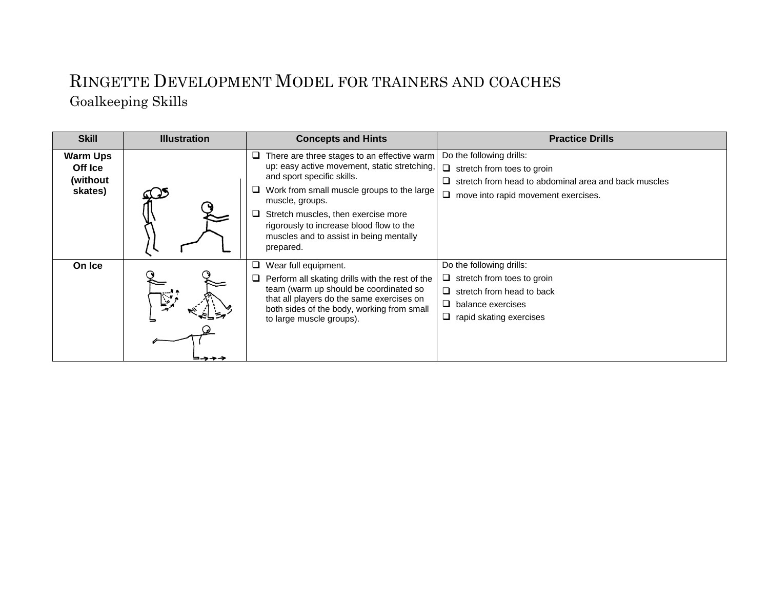### RINGETTE DEVELOPMENT MODEL FOR TRAINERS AND COACHES Goalkeeping Skills

| <b>Skill</b>                                      | <b>Illustration</b> | <b>Concepts and Hints</b>                                                                                                                                                                                                                                                                                                             | <b>Practice Drills</b>                                                                                                                                                     |
|---------------------------------------------------|---------------------|---------------------------------------------------------------------------------------------------------------------------------------------------------------------------------------------------------------------------------------------------------------------------------------------------------------------------------------|----------------------------------------------------------------------------------------------------------------------------------------------------------------------------|
| <b>Warm Ups</b><br>Off Ice<br>(without<br>skates) |                     | There are three stages to an effective warm<br>up: easy active movement, static stretching,<br>and sport specific skills.<br>Work from small muscle groups to the large<br>muscle, groups.<br>Stretch muscles, then exercise more<br>rigorously to increase blood flow to the<br>muscles and to assist in being mentally<br>prepared. | Do the following drills:<br>$\Box$ stretch from toes to groin<br>$\Box$ stretch from head to abdominal area and back muscles<br>$\Box$ move into rapid movement exercises. |
| On Ice                                            | تبخيا               | Wear full equipment.<br>Perform all skating drills with the rest of the<br>team (warm up should be coordinated so<br>that all players do the same exercises on<br>both sides of the body, working from small<br>to large muscle groups).                                                                                              | Do the following drills:<br>$\Box$ stretch from toes to groin<br>$\Box$ stretch from head to back<br>$\Box$ balance exercises<br>$\Box$ rapid skating exercises            |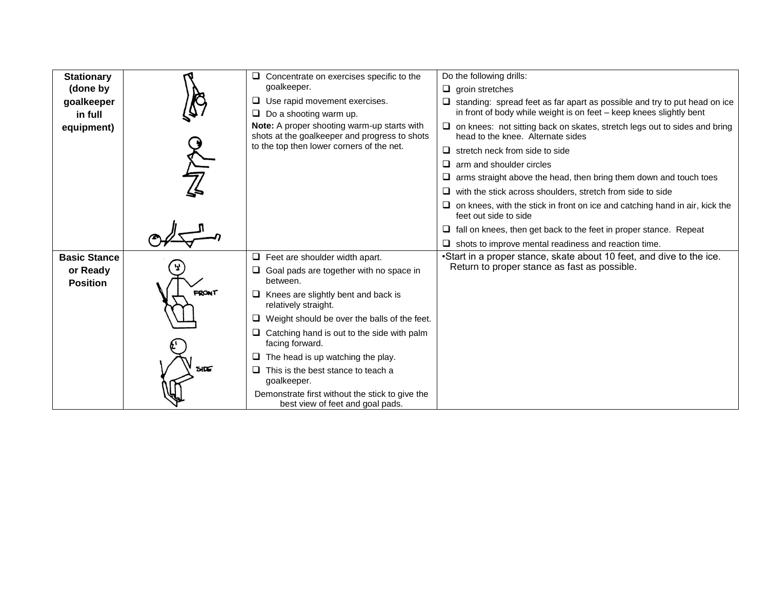| <b>Stationary</b>           |             | $\Box$ Concentrate on exercises specific to the                                              | Do the following drills:                                                                                              |
|-----------------------------|-------------|----------------------------------------------------------------------------------------------|-----------------------------------------------------------------------------------------------------------------------|
| (done by                    |             | goalkeeper.                                                                                  | $\Box$ groin stretches                                                                                                |
| goalkeeper                  |             | $\Box$ Use rapid movement exercises.                                                         | $\Box$ standing: spread feet as far apart as possible and try to put head on ice                                      |
| in full                     |             | $\Box$ Do a shooting warm up.                                                                | in front of body while weight is on feet - keep knees slightly bent                                                   |
| equipment)                  |             | Note: A proper shooting warm-up starts with<br>shots at the goalkeeper and progress to shots | $\Box$ on knees: not sitting back on skates, stretch legs out to sides and bring<br>head to the knee. Alternate sides |
|                             |             | to the top then lower corners of the net.                                                    | $\Box$ stretch neck from side to side                                                                                 |
|                             |             |                                                                                              | $\Box$ arm and shoulder circles                                                                                       |
|                             |             |                                                                                              | $\Box$ arms straight above the head, then bring them down and touch toes                                              |
|                             |             |                                                                                              | $\Box$ with the stick across shoulders, stretch from side to side                                                     |
|                             |             |                                                                                              | $\Box$ on knees, with the stick in front on ice and catching hand in air, kick the<br>feet out side to side           |
|                             |             |                                                                                              | $\Box$ fall on knees, then get back to the feet in proper stance. Repeat                                              |
|                             |             |                                                                                              | $\Box$ shots to improve mental readiness and reaction time.                                                           |
| <b>Basic Stance</b>         |             | $\Box$ Feet are shoulder width apart.                                                        | •Start in a proper stance, skate about 10 feet, and dive to the ice.                                                  |
| or Ready<br><b>Position</b> |             | $\Box$ Goal pads are together with no space in<br>between.                                   | Return to proper stance as fast as possible.                                                                          |
|                             | FRONT       | $\Box$ Knees are slightly bent and back is<br>relatively straight.                           |                                                                                                                       |
|                             |             | Weight should be over the balls of the feet.<br>□                                            |                                                                                                                       |
|                             |             | $\Box$ Catching hand is out to the side with palm<br>facing forward.                         |                                                                                                                       |
|                             |             | The head is up watching the play.<br>□                                                       |                                                                                                                       |
|                             | <b>SIDE</b> | $\Box$<br>This is the best stance to teach a<br>goalkeeper.                                  |                                                                                                                       |
|                             |             | Demonstrate first without the stick to give the<br>best view of feet and goal pads.          |                                                                                                                       |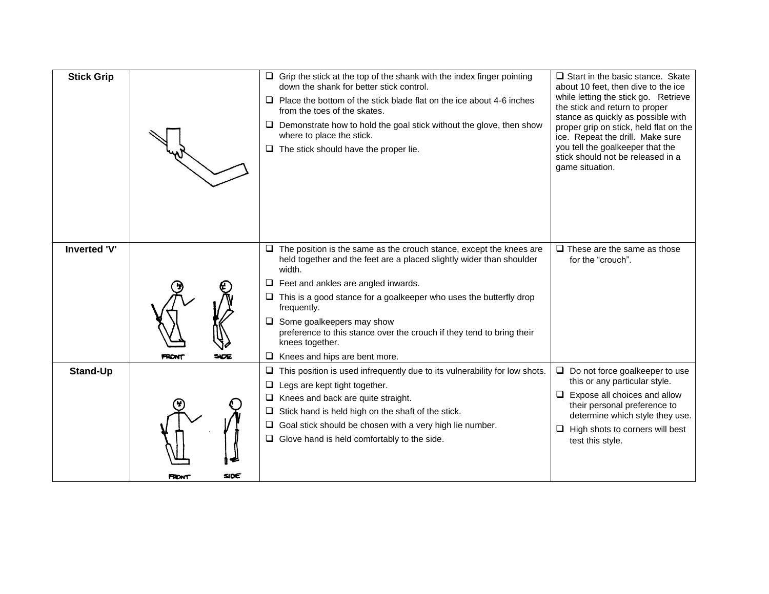| <b>Stick Grip</b>   |                     | $\Box$ Grip the stick at the top of the shank with the index finger pointing<br>down the shank for better stick control.<br>$\Box$ Place the bottom of the stick blade flat on the ice about 4-6 inches<br>from the toes of the skates.<br>$\Box$ Demonstrate how to hold the goal stick without the glove, then show<br>where to place the stick.<br>The stick should have the proper lie.                                                                                    | $\Box$ Start in the basic stance. Skate<br>about 10 feet, then dive to the ice<br>while letting the stick go. Retrieve<br>the stick and return to proper<br>stance as quickly as possible with<br>proper grip on stick, held flat on the<br>ice. Repeat the drill. Make sure<br>you tell the goalkeeper that the<br>stick should not be released in a<br>game situation. |
|---------------------|---------------------|--------------------------------------------------------------------------------------------------------------------------------------------------------------------------------------------------------------------------------------------------------------------------------------------------------------------------------------------------------------------------------------------------------------------------------------------------------------------------------|--------------------------------------------------------------------------------------------------------------------------------------------------------------------------------------------------------------------------------------------------------------------------------------------------------------------------------------------------------------------------|
| <b>Inverted 'V'</b> | <b>FRONT</b><br>SOE | $\Box$ The position is the same as the crouch stance, except the knees are<br>held together and the feet are a placed slightly wider than shoulder<br>width.<br>$\Box$ Feet and ankles are angled inwards.<br>$\Box$ This is a good stance for a goalkeeper who uses the butterfly drop<br>frequently.<br>$\Box$ Some goalkeepers may show<br>preference to this stance over the crouch if they tend to bring their<br>knees together.<br>$\Box$ Knees and hips are bent more. | $\Box$ These are the same as those<br>for the "crouch".                                                                                                                                                                                                                                                                                                                  |
| <b>Stand-Up</b>     | SIDE<br>FRONT       | This position is used infrequently due to its vulnerability for low shots.<br>⊔<br>Legs are kept tight together.<br>Knees and back are quite straight.<br>u.<br>Stick hand is held high on the shaft of the stick.<br>$\Box$<br>$\Box$ Goal stick should be chosen with a very high lie number.<br>$\Box$ Glove hand is held comfortably to the side.                                                                                                                          | $\Box$ Do not force goalkeeper to use<br>this or any particular style.<br>$\Box$ Expose all choices and allow<br>their personal preference to<br>determine which style they use.<br>High shots to corners will best<br>u.<br>test this style.                                                                                                                            |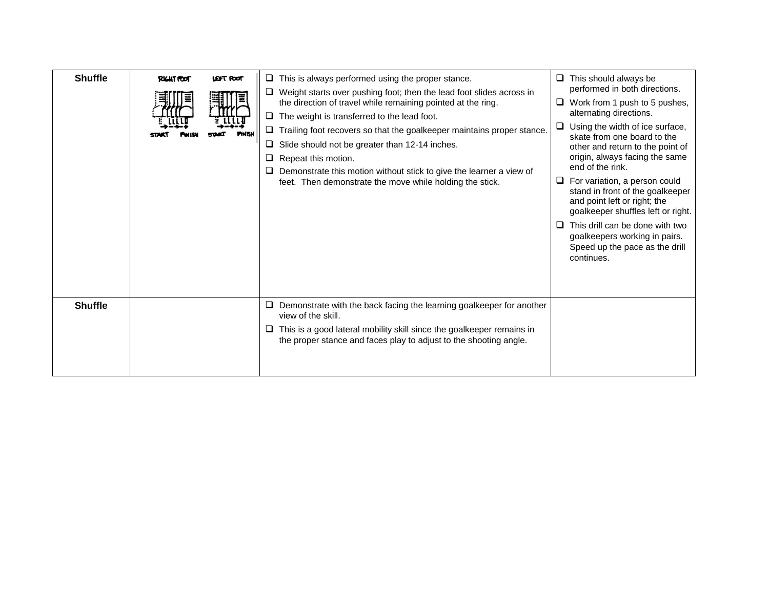| <b>Shuffle</b> | <b>RIGHT FOOT</b> | LEFT POOT | $\Box$ This is always performed using the proper stance.<br>$\Box$ Weight starts over pushing foot; then the lead foot slides across in<br>the direction of travel while remaining pointed at the ring.<br>$\Box$ The weight is transferred to the lead foot.<br>$\Box$ Trailing foot recovers so that the goalkeeper maintains proper stance.<br>Slide should not be greater than 12-14 inches.<br>❏<br>Repeat this motion.<br>Demonstrate this motion without stick to give the learner a view of<br>feet. Then demonstrate the move while holding the stick. | □ | $\Box$ This should always be<br>performed in both directions.<br>Work from 1 push to 5 pushes,<br>alternating directions.<br>Using the width of ice surface,<br>skate from one board to the<br>other and return to the point of<br>origin, always facing the same<br>end of the rink.<br>For variation, a person could<br>stand in front of the goalkeeper<br>and point left or right; the<br>goalkeeper shuffles left or right.<br>This drill can be done with two<br>goalkeepers working in pairs.<br>Speed up the pace as the drill<br>continues. |
|----------------|-------------------|-----------|-----------------------------------------------------------------------------------------------------------------------------------------------------------------------------------------------------------------------------------------------------------------------------------------------------------------------------------------------------------------------------------------------------------------------------------------------------------------------------------------------------------------------------------------------------------------|---|------------------------------------------------------------------------------------------------------------------------------------------------------------------------------------------------------------------------------------------------------------------------------------------------------------------------------------------------------------------------------------------------------------------------------------------------------------------------------------------------------------------------------------------------------|
| <b>Shuffle</b> |                   |           | $\Box$ Demonstrate with the back facing the learning goalkeeper for another<br>view of the skill.<br>$\Box$ This is a good lateral mobility skill since the goalkeeper remains in<br>the proper stance and faces play to adjust to the shooting angle.                                                                                                                                                                                                                                                                                                          |   |                                                                                                                                                                                                                                                                                                                                                                                                                                                                                                                                                      |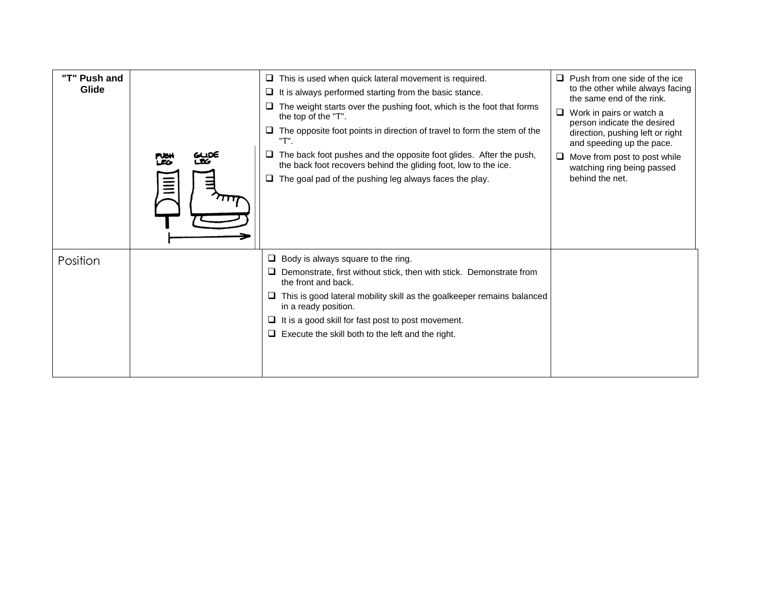| "T" Push and<br>Glide | ᄦ | $\Box$ This is used when quick lateral movement is required.<br>It is always performed starting from the basic stance.<br>⊔<br>The weight starts over the pushing foot, which is the foot that forms<br>the top of the "T".<br>$\Box$ The opposite foot points in direction of travel to form the stem of the<br>"T".<br>The back foot pushes and the opposite foot glides. After the push,<br>⊔<br>the back foot recovers behind the gliding foot, low to the ice.<br>$\Box$ The goal pad of the pushing leg always faces the play. | Push from one side of the ice<br>❏<br>to the other while always facing<br>the same end of the rink.<br>Work in pairs or watch a<br>⊔<br>person indicate the desired<br>direction, pushing left or right<br>and speeding up the pace.<br>Move from post to post while<br>□<br>watching ring being passed<br>behind the net. |
|-----------------------|---|--------------------------------------------------------------------------------------------------------------------------------------------------------------------------------------------------------------------------------------------------------------------------------------------------------------------------------------------------------------------------------------------------------------------------------------------------------------------------------------------------------------------------------------|----------------------------------------------------------------------------------------------------------------------------------------------------------------------------------------------------------------------------------------------------------------------------------------------------------------------------|
| Position              |   | Body is always square to the ring.<br>u.<br>Demonstrate, first without stick, then with stick. Demonstrate from<br>the front and back.<br>This is good lateral mobility skill as the goalkeeper remains balanced<br>in a ready position.<br>It is a good skill for fast post to post movement.<br>$\Box$ Execute the skill both to the left and the right.                                                                                                                                                                           |                                                                                                                                                                                                                                                                                                                            |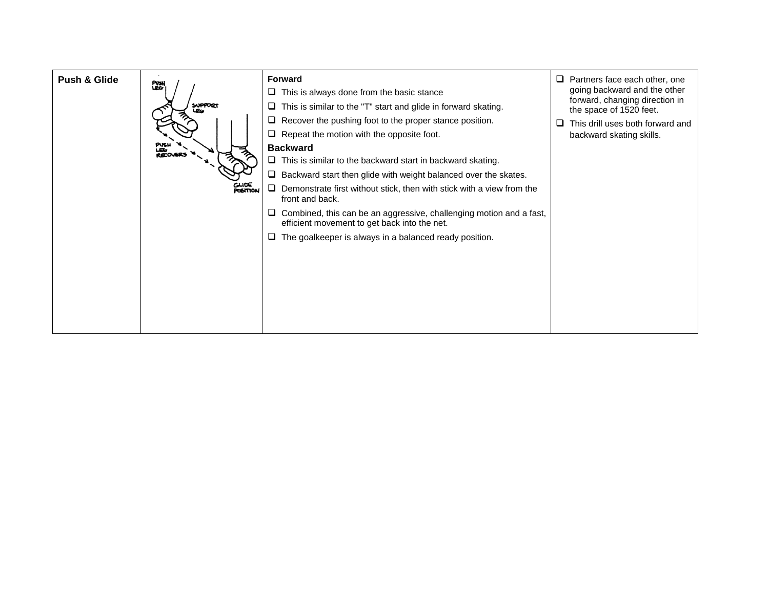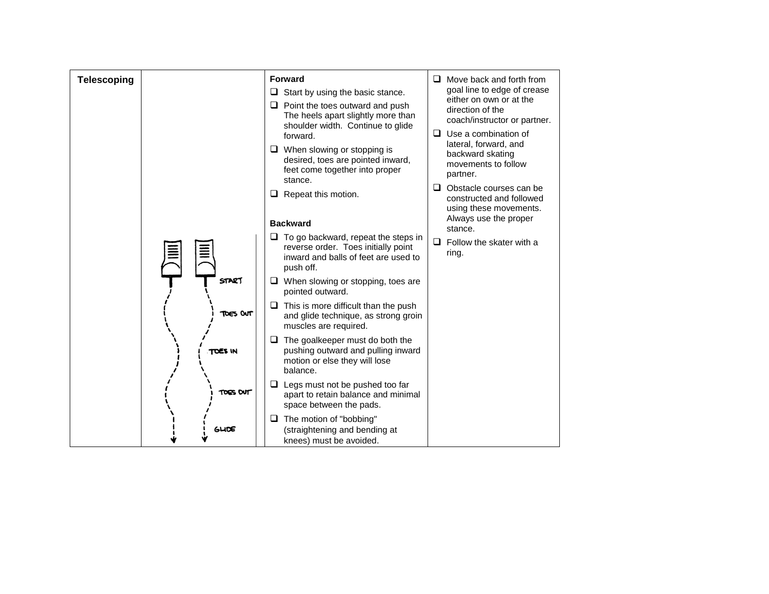| <b>Telescoping</b> |                 | <b>Forward</b><br>Start by using the basic stance.<br>⊔<br>Point the toes outward and push<br>⊔<br>The heels apart slightly more than<br>shoulder width. Continue to glide<br>forward. | $\Box$ Move back and forth from<br>goal line to edge of crease<br>either on own or at the<br>direction of the<br>coach/instructor or partner.<br>$\Box$ Use a combination of |
|--------------------|-----------------|----------------------------------------------------------------------------------------------------------------------------------------------------------------------------------------|------------------------------------------------------------------------------------------------------------------------------------------------------------------------------|
|                    |                 | $\Box$ When slowing or stopping is<br>desired, toes are pointed inward,<br>feet come together into proper<br>stance.                                                                   | lateral, forward, and<br>backward skating<br>movements to follow<br>partner.                                                                                                 |
|                    |                 | Repeat this motion.<br>⊔                                                                                                                                                               | $\Box$ Obstacle courses can be<br>constructed and followed<br>using these movements.<br>Always use the proper                                                                |
|                    |                 | <b>Backward</b>                                                                                                                                                                        | stance.                                                                                                                                                                      |
|                    |                 | To go backward, repeat the steps in<br>⊔<br>reverse order. Toes initially point<br>inward and balls of feet are used to<br>push off.                                                   | $\Box$ Follow the skater with a<br>ring.                                                                                                                                     |
|                    | START           | When slowing or stopping, toes are<br>u<br>pointed outward.                                                                                                                            |                                                                                                                                                                              |
|                    | <b>TOES OUT</b> | This is more difficult than the push<br>⊔<br>and glide technique, as strong groin<br>muscles are required.                                                                             |                                                                                                                                                                              |
|                    | TOES IN         | The goalkeeper must do both the<br>⊔<br>pushing outward and pulling inward<br>motion or else they will lose<br>balance.                                                                |                                                                                                                                                                              |
|                    | TOES OUT        | Legs must not be pushed too far<br>⊔<br>apart to retain balance and minimal<br>space between the pads.                                                                                 |                                                                                                                                                                              |
|                    | GUDE            | The motion of "bobbing"<br>⊔<br>(straightening and bending at<br>knees) must be avoided.                                                                                               |                                                                                                                                                                              |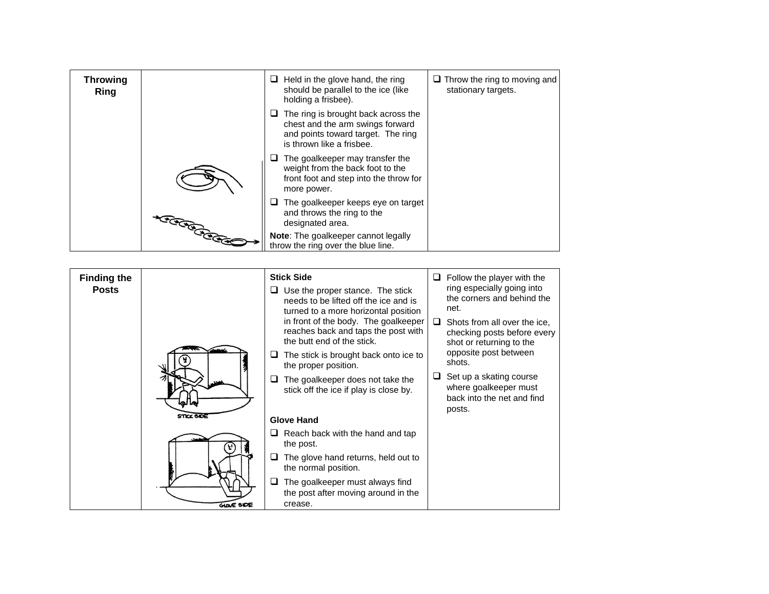| <b>Throwing</b><br><b>Ring</b> |                                                                                                                                                                                                                                  | Held in the glove hand, the ring<br>⊔<br>should be parallel to the ice (like<br>holding a frisbee).                                        | $\Box$ Throw the ring to moving and<br>stationary targets. |
|--------------------------------|----------------------------------------------------------------------------------------------------------------------------------------------------------------------------------------------------------------------------------|--------------------------------------------------------------------------------------------------------------------------------------------|------------------------------------------------------------|
|                                |                                                                                                                                                                                                                                  | The ring is brought back across the<br>chest and the arm swings forward<br>and points toward target. The ring<br>is thrown like a frisbee. |                                                            |
|                                |                                                                                                                                                                                                                                  | The goalkeeper may transfer the<br>weight from the back foot to the<br>front foot and step into the throw for<br>more power.               |                                                            |
|                                |                                                                                                                                                                                                                                  | The goalkeeper keeps eye on target<br>and throws the ring to the<br>designated area.                                                       |                                                            |
|                                | ت توسط میں ایک تعلیم کے بات میں ایک تعلیم کے بات میں ایک تعلیم کے بات میں ایک تعلیم کے بات میں ایک تعلیم کے با<br>منصوبہ ایک تعلیم کے بات میں ایک تعلیم کے بات میں ایک تعلیم کے بات میں ایک تعلیم کے بات میں ایک تعلیم کے بات می | Note: The goalkeeper cannot legally<br>throw the ring over the blue line.                                                                  |                                                            |

| <b>Finding the</b><br><b>Posts</b> |                   | <b>Stick Side</b><br>Use the proper stance. The stick<br>needs to be lifted off the ice and is<br>turned to a more horizontal position<br>in front of the body. The goalkeeper<br>reaches back and taps the post with<br>the butt end of the stick.<br>The stick is brought back onto ice to<br>the proper position.<br>The goalkeeper does not take the<br>stick off the ice if play is close by. | Follow the player with the<br>⊔.<br>ring especially going into<br>the corners and behind the<br>net.<br>□<br>Shots from all over the ice,<br>checking posts before every<br>shot or returning to the<br>opposite post between<br>shots.<br>Set up a skating course<br>where goalkeeper must<br>back into the net and find<br>posts. |
|------------------------------------|-------------------|----------------------------------------------------------------------------------------------------------------------------------------------------------------------------------------------------------------------------------------------------------------------------------------------------------------------------------------------------------------------------------------------------|-------------------------------------------------------------------------------------------------------------------------------------------------------------------------------------------------------------------------------------------------------------------------------------------------------------------------------------|
|                                    | <b>STICK SIDE</b> | <b>Glove Hand</b>                                                                                                                                                                                                                                                                                                                                                                                  |                                                                                                                                                                                                                                                                                                                                     |
|                                    |                   | Reach back with the hand and tap<br>the post.                                                                                                                                                                                                                                                                                                                                                      |                                                                                                                                                                                                                                                                                                                                     |
|                                    |                   | The glove hand returns, held out to<br>⊔<br>the normal position.                                                                                                                                                                                                                                                                                                                                   |                                                                                                                                                                                                                                                                                                                                     |
|                                    | <b>GLOVE SIDE</b> | The goalkeeper must always find<br>the post after moving around in the<br>crease.                                                                                                                                                                                                                                                                                                                  |                                                                                                                                                                                                                                                                                                                                     |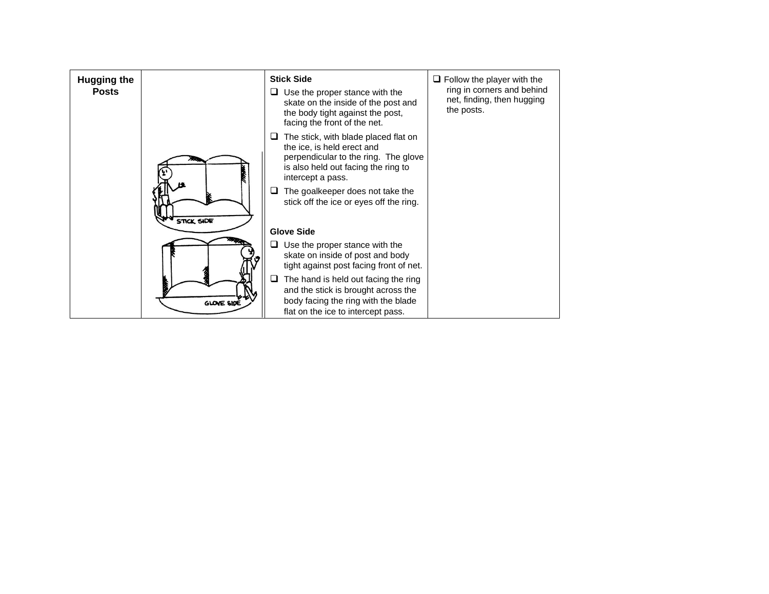| <b>Hugging the</b><br><b>Posts</b> |                   | <b>Stick Side</b><br>Use the proper stance with the<br>skate on the inside of the post and<br>the body tight against the post,<br>facing the front of the net.                                                                                        | $\Box$ Follow the player with the<br>ring in corners and behind<br>net, finding, then hugging<br>the posts. |
|------------------------------------|-------------------|-------------------------------------------------------------------------------------------------------------------------------------------------------------------------------------------------------------------------------------------------------|-------------------------------------------------------------------------------------------------------------|
|                                    | <b>STICK SIDE</b> | The stick, with blade placed flat on<br>the ice, is held erect and<br>perpendicular to the ring. The glove<br>is also held out facing the ring to<br>intercept a pass.<br>The goalkeeper does not take the<br>stick off the ice or eyes off the ring. |                                                                                                             |
|                                    |                   | <b>Glove Side</b>                                                                                                                                                                                                                                     |                                                                                                             |
|                                    |                   | Use the proper stance with the<br>skate on inside of post and body<br>tight against post facing front of net.                                                                                                                                         |                                                                                                             |
|                                    | GLOVE SIDE        | The hand is held out facing the ring<br>⊔<br>and the stick is brought across the<br>body facing the ring with the blade<br>flat on the ice to intercept pass.                                                                                         |                                                                                                             |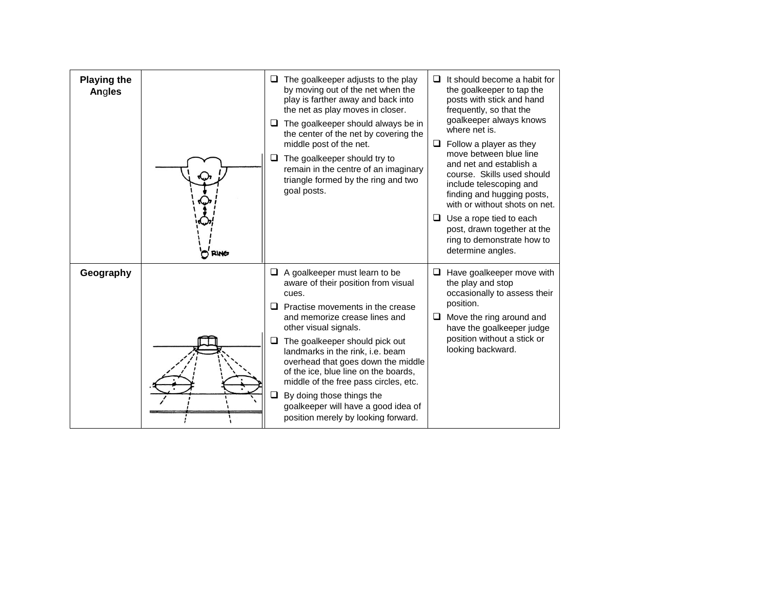| <b>Playing the</b><br>Angles | <b>RING</b> | The goalkeeper adjusts to the play<br>⊔<br>by moving out of the net when the<br>play is farther away and back into<br>the net as play moves in closer.<br>The goalkeeper should always be in<br>❏<br>the center of the net by covering the<br>middle post of the net.<br>The goalkeeper should try to<br>❏<br>remain in the centre of an imaginary<br>triangle formed by the ring and two<br>goal posts.                                                                                            | It should become a habit for<br>□<br>the goalkeeper to tap the<br>posts with stick and hand<br>frequently, so that the<br>goalkeeper always knows<br>where net is.<br>Follow a player as they<br>□<br>move between blue line<br>and net and establish a<br>course. Skills used should<br>include telescoping and<br>finding and hugging posts,<br>with or without shots on net.<br>Use a rope tied to each<br>□<br>post, drawn together at the<br>ring to demonstrate how to<br>determine angles. |
|------------------------------|-------------|-----------------------------------------------------------------------------------------------------------------------------------------------------------------------------------------------------------------------------------------------------------------------------------------------------------------------------------------------------------------------------------------------------------------------------------------------------------------------------------------------------|---------------------------------------------------------------------------------------------------------------------------------------------------------------------------------------------------------------------------------------------------------------------------------------------------------------------------------------------------------------------------------------------------------------------------------------------------------------------------------------------------|
| Geography                    |             | A goalkeeper must learn to be<br>u.<br>aware of their position from visual<br>cues.<br>Practise movements in the crease<br>and memorize crease lines and<br>other visual signals.<br>The goalkeeper should pick out<br>❏<br>landmarks in the rink, i.e. beam<br>overhead that goes down the middle<br>of the ice, blue line on the boards,<br>middle of the free pass circles, etc.<br>By doing those things the<br>□<br>goalkeeper will have a good idea of<br>position merely by looking forward. | Have goalkeeper move with<br>□<br>the play and stop<br>occasionally to assess their<br>position.<br>Move the ring around and<br>□<br>have the goalkeeper judge<br>position without a stick or<br>looking backward.                                                                                                                                                                                                                                                                                |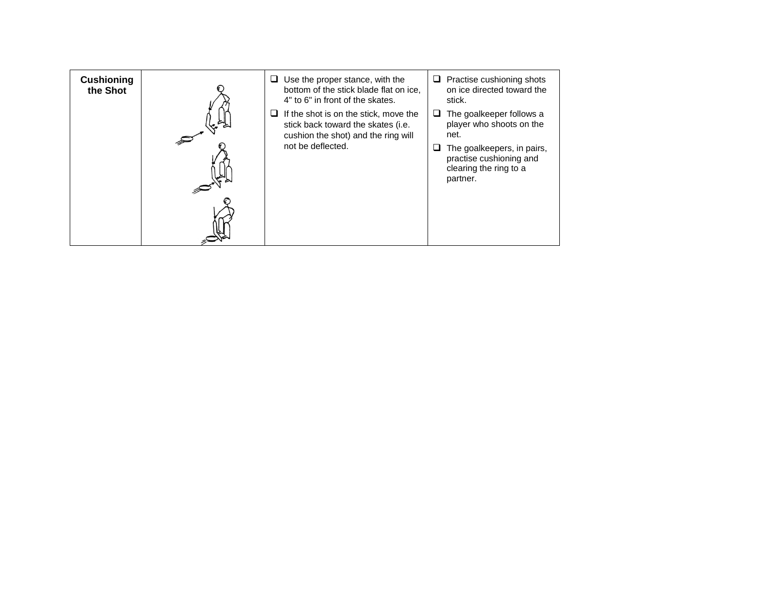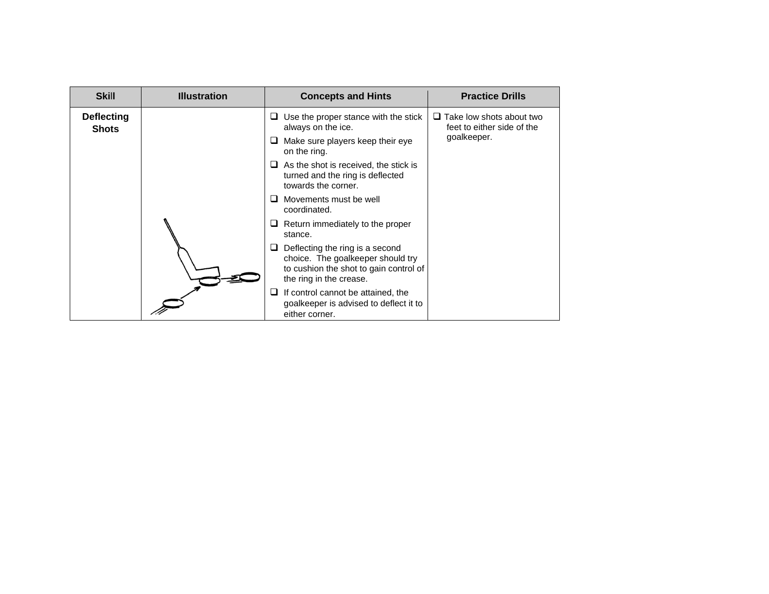| <b>Skill</b>                      | <b>Illustration</b> | <b>Practice Drills</b><br><b>Concepts and Hints</b>                                                                                       |  |
|-----------------------------------|---------------------|-------------------------------------------------------------------------------------------------------------------------------------------|--|
| <b>Deflecting</b><br><b>Shots</b> |                     | $\Box$ Take low shots about two<br>Use the proper stance with the stick<br>always on the ice.<br>feet to either side of the               |  |
|                                   |                     | goalkeeper.<br>Make sure players keep their eye<br>⊔<br>on the ring.                                                                      |  |
|                                   |                     | As the shot is received, the stick is<br>turned and the ring is deflected<br>towards the corner.                                          |  |
|                                   |                     | Movements must be well<br>coordinated.                                                                                                    |  |
|                                   |                     | Return immediately to the proper<br>stance.                                                                                               |  |
|                                   |                     | Deflecting the ring is a second<br>choice. The goalkeeper should try<br>to cushion the shot to gain control of<br>the ring in the crease. |  |
|                                   |                     | If control cannot be attained, the<br>goalkeeper is advised to deflect it to<br>either corner.                                            |  |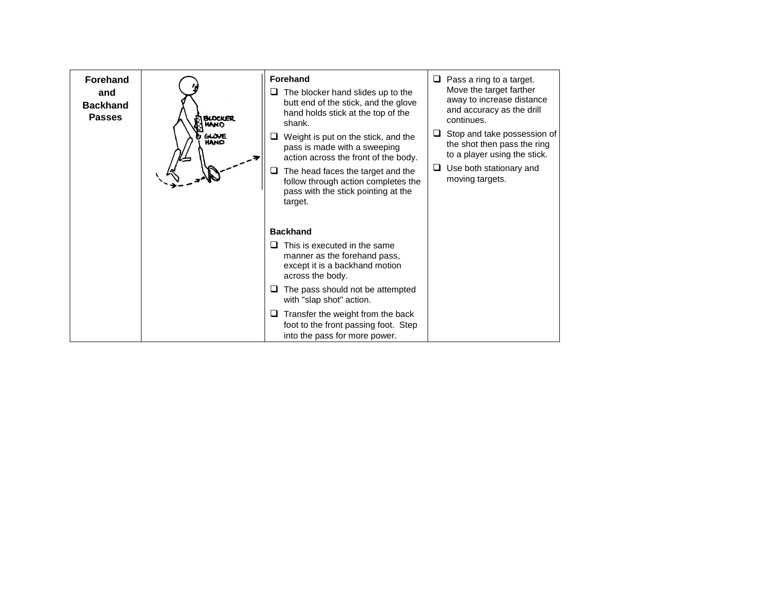| <b>Forehand</b><br>and<br><b>Backhand</b><br><b>Passes</b> | <b>BLOCKER</b><br>GLOVE<br>HAND | <b>Forehand</b><br>The blocker hand slides up to the<br>u.<br>butt end of the stick, and the glove<br>hand holds stick at the top of the<br>shank.<br>Weight is put on the stick, and the<br>u<br>pass is made with a sweeping<br>action across the front of the body.<br>The head faces the target and the<br>u<br>follow through action completes the<br>pass with the stick pointing at the<br>target. | Pass a ring to a target.<br>Move the target farther<br>away to increase distance<br>and accuracy as the drill<br>continues.<br>Stop and take possession of<br>⊔<br>the shot then pass the ring<br>to a player using the stick.<br>Use both stationary and<br>⊔<br>moving targets. |
|------------------------------------------------------------|---------------------------------|-----------------------------------------------------------------------------------------------------------------------------------------------------------------------------------------------------------------------------------------------------------------------------------------------------------------------------------------------------------------------------------------------------------|-----------------------------------------------------------------------------------------------------------------------------------------------------------------------------------------------------------------------------------------------------------------------------------|
|                                                            |                                 | <b>Backhand</b><br>This is executed in the same<br>⊔<br>manner as the forehand pass,<br>except it is a backhand motion<br>across the body.<br>The pass should not be attempted<br>⊔<br>with "slap shot" action.<br>Transfer the weight from the back<br>u<br>foot to the front passing foot. Step<br>into the pass for more power.                                                                        |                                                                                                                                                                                                                                                                                   |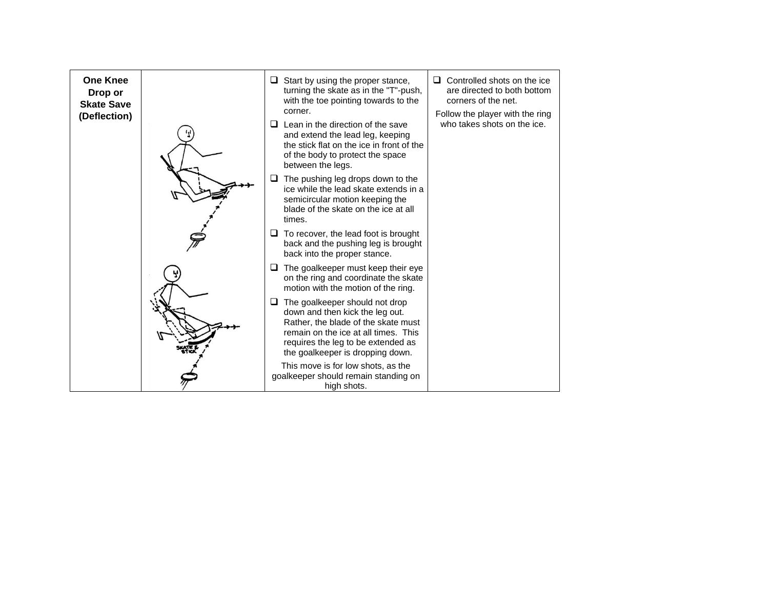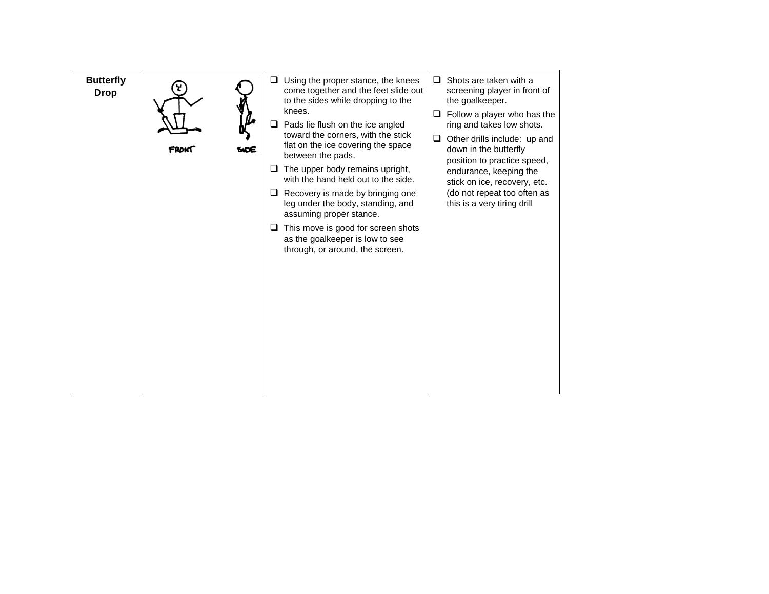| <b>Butterfly</b><br><b>Drop</b> | Using the proper stance, the knees<br>❏<br>come together and the feet slide out<br>to the sides while dropping to the<br>knees.<br>Pads lie flush on the ice angled<br>❏<br>toward the corners, with the stick<br>flat on the ice covering the space<br>between the pads.<br>The upper body remains upright,<br>with the hand held out to the side.<br>Recovery is made by bringing one<br>ч<br>leg under the body, standing, and<br>assuming proper stance.<br>This move is good for screen shots<br>u<br>as the goalkeeper is low to see<br>through, or around, the screen. | Shots are taken with a<br>◻<br>screening player in front of<br>the goalkeeper.<br>Follow a player who has the<br>⊔<br>ring and takes low shots.<br>Other drills include: up and<br>⊔<br>down in the butterfly<br>position to practice speed,<br>endurance, keeping the<br>stick on ice, recovery, etc.<br>(do not repeat too often as<br>this is a very tiring drill |
|---------------------------------|-------------------------------------------------------------------------------------------------------------------------------------------------------------------------------------------------------------------------------------------------------------------------------------------------------------------------------------------------------------------------------------------------------------------------------------------------------------------------------------------------------------------------------------------------------------------------------|----------------------------------------------------------------------------------------------------------------------------------------------------------------------------------------------------------------------------------------------------------------------------------------------------------------------------------------------------------------------|
|                                 |                                                                                                                                                                                                                                                                                                                                                                                                                                                                                                                                                                               |                                                                                                                                                                                                                                                                                                                                                                      |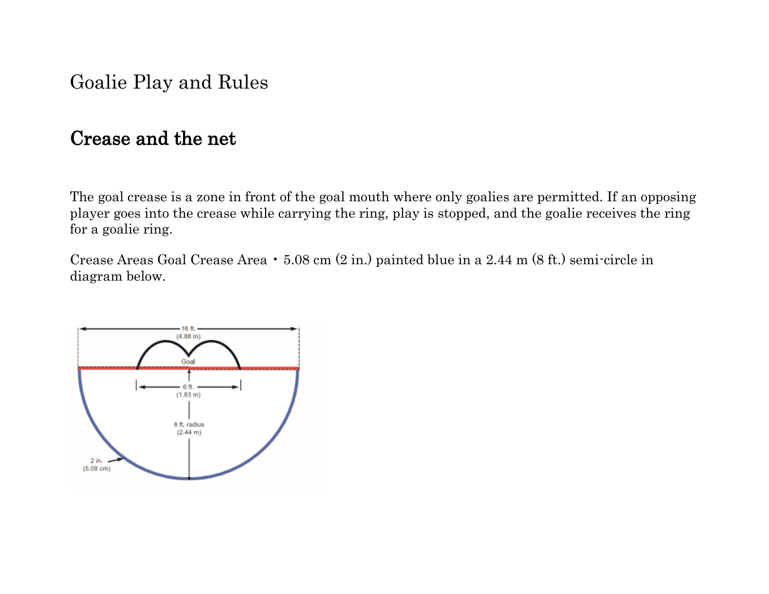Goalie Play and Rules

### Crease and the net

The goal crease is a zone in front of the goal mouth where only goalies are permitted. If an opposing player goes into the crease while carrying the ring, play is stopped, and the goalie receives the ring for a goalie ring.

Crease Areas Goal Crease Area • 5.08 cm (2 in.) painted blue in a 2.44 m (8 ft.) semi-circle in diagram below.

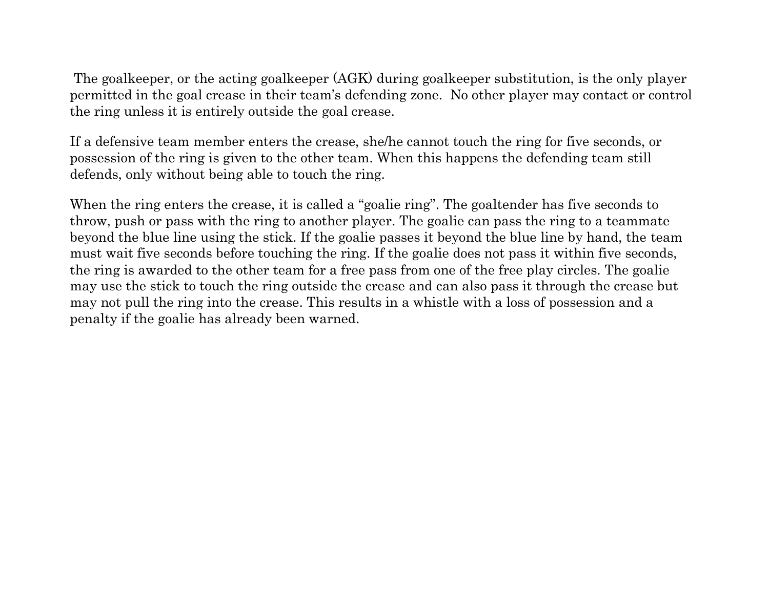The goalkeeper, or the acting goalkeeper (AGK) during goalkeeper substitution, is the only player permitted in the goal crease in their team's defending zone. No other player may contact or control the ring unless it is entirely outside the goal crease.

If a defensive team member enters the crease, she/he cannot touch the ring for five seconds, or possession of the ring is given to the other team. When this happens the defending team still defends, only without being able to touch the ring.

When the ring enters the crease, it is called a "goalie ring". The goaltender has five seconds to throw, push or pass with the ring to another player. The goalie can pass the ring to a teammate beyond the blue line using the stick. If the goalie passes it beyond the blue line by hand, the team must wait five seconds before touching the ring. If the goalie does not pass it within five seconds, the ring is awarded to the other team for a free pass from one of the free play circles. The goalie may use the stick to touch the ring outside the crease and can also pass it through the crease but may not pull the ring into the crease. This results in a whistle with a loss of possession and a penalty if the goalie has already been warned.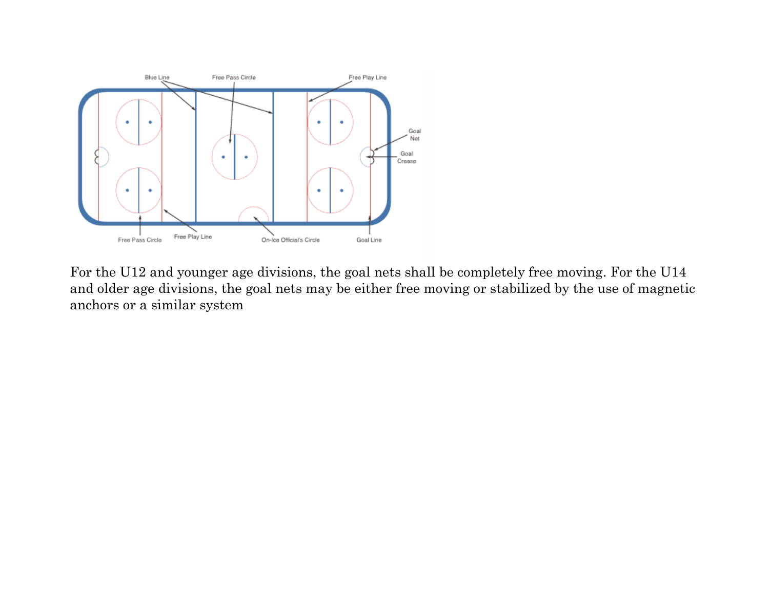

For the U12 and younger age divisions, the goal nets shall be completely free moving. For the U14 and older age divisions, the goal nets may be either free moving or stabilized by the use of magnetic anchors or a similar system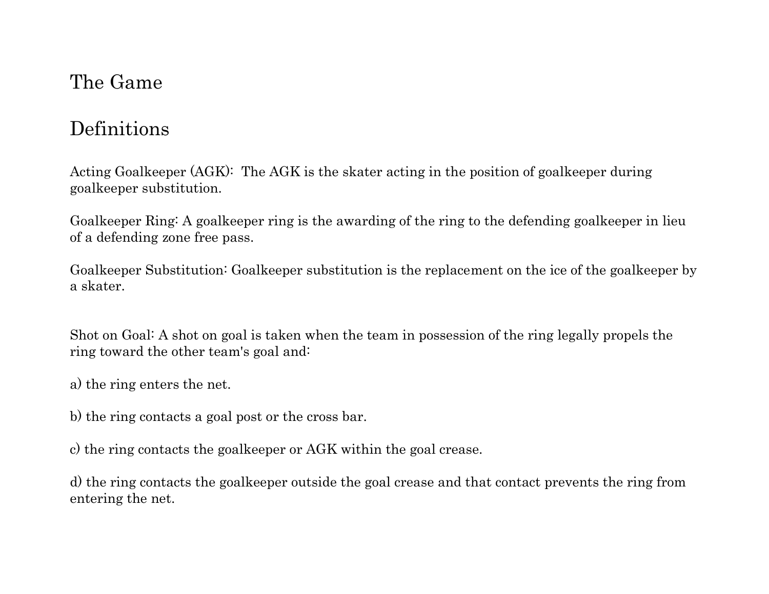## The Game

# Definitions

Acting Goalkeeper (AGK): The AGK is the skater acting in the position of goalkeeper during goalkeeper substitution.

Goalkeeper Ring: A goalkeeper ring is the awarding of the ring to the defending goalkeeper in lieu of a defending zone free pass.

Goalkeeper Substitution: Goalkeeper substitution is the replacement on the ice of the goalkeeper by a skater.

Shot on Goal: A shot on goal is taken when the team in possession of the ring legally propels the ring toward the other team's goal and:

a) the ring enters the net.

- b) the ring contacts a goal post or the cross bar.
- c) the ring contacts the goalkeeper or AGK within the goal crease.

d) the ring contacts the goalkeeper outside the goal crease and that contact prevents the ring from entering the net.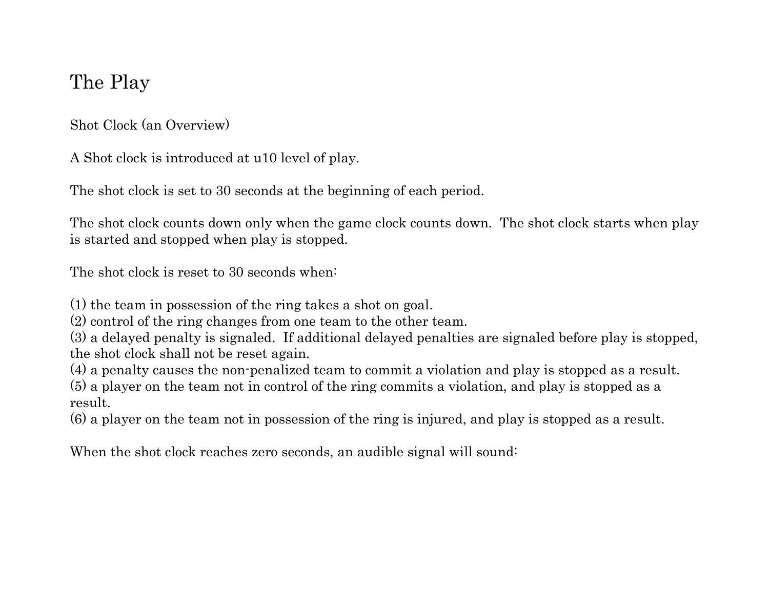## The Play

Shot Clock (an Overview)

A Shot clock is introduced at u10 level of play.

The shot clock is set to 30 seconds at the beginning of each period.

The shot clock counts down only when the game clock counts down. The shot clock starts when play is started and stopped when play is stopped.

The shot clock is reset to 30 seconds when:

(1) the team in possession of the ring takes a shot on goal.

(2) control of the ring changes from one team to the other team.

(3) a delayed penalty is signaled. If additional delayed penalties are signaled before play is stopped, the shot clock shall not be reset again.

(4) a penalty causes the non-penalized team to commit a violation and play is stopped as a result.

(5) a player on the team not in control of the ring commits a violation, and play is stopped as a result.

(6) a player on the team not in possession of the ring is injured, and play is stopped as a result.

When the shot clock reaches zero seconds, an audible signal will sound: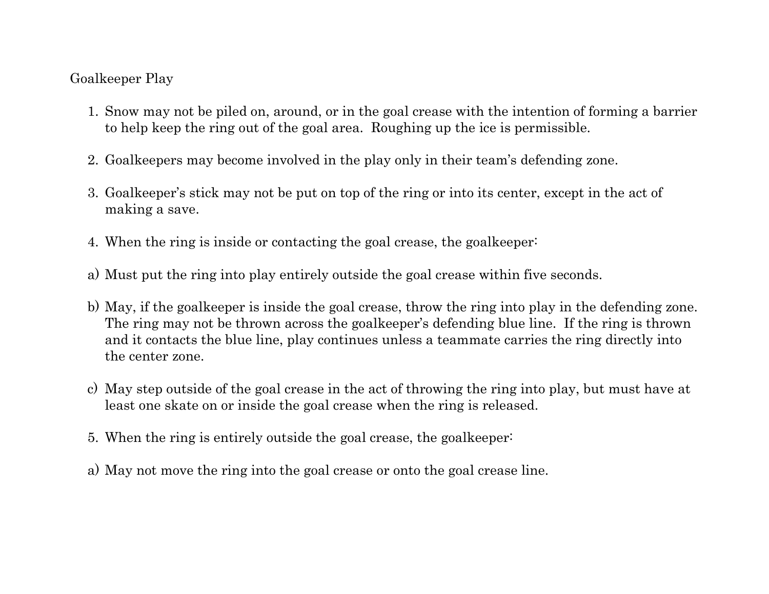#### Goalkeeper Play

- 1. Snow may not be piled on, around, or in the goal crease with the intention of forming a barrier to help keep the ring out of the goal area. Roughing up the ice is permissible.
- 2. Goalkeepers may become involved in the play only in their team's defending zone.
- 3. Goalkeeper's stick may not be put on top of the ring or into its center, except in the act of making a save.
- 4. When the ring is inside or contacting the goal crease, the goalkeeper:
- a) Must put the ring into play entirely outside the goal crease within five seconds.
- b) May, if the goalkeeper is inside the goal crease, throw the ring into play in the defending zone. The ring may not be thrown across the goalkeeper's defending blue line. If the ring is thrown and it contacts the blue line, play continues unless a teammate carries the ring directly into the center zone.
- c) May step outside of the goal crease in the act of throwing the ring into play, but must have at least one skate on or inside the goal crease when the ring is released.
- 5. When the ring is entirely outside the goal crease, the goalkeeper:
- a) May not move the ring into the goal crease or onto the goal crease line.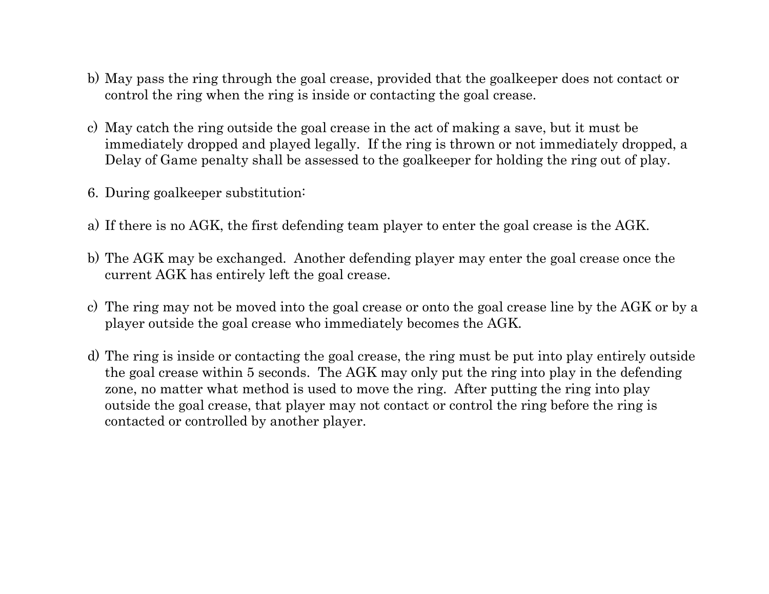- b) May pass the ring through the goal crease, provided that the goalkeeper does not contact or control the ring when the ring is inside or contacting the goal crease.
- c) May catch the ring outside the goal crease in the act of making a save, but it must be immediately dropped and played legally. If the ring is thrown or not immediately dropped, a Delay of Game penalty shall be assessed to the goalkeeper for holding the ring out of play.
- 6. During goalkeeper substitution:
- a) If there is no AGK, the first defending team player to enter the goal crease is the AGK.
- b) The AGK may be exchanged. Another defending player may enter the goal crease once the current AGK has entirely left the goal crease.
- c) The ring may not be moved into the goal crease or onto the goal crease line by the AGK or by a player outside the goal crease who immediately becomes the AGK.
- d) The ring is inside or contacting the goal crease, the ring must be put into play entirely outside the goal crease within 5 seconds. The AGK may only put the ring into play in the defending zone, no matter what method is used to move the ring. After putting the ring into play outside the goal crease, that player may not contact or control the ring before the ring is contacted or controlled by another player.